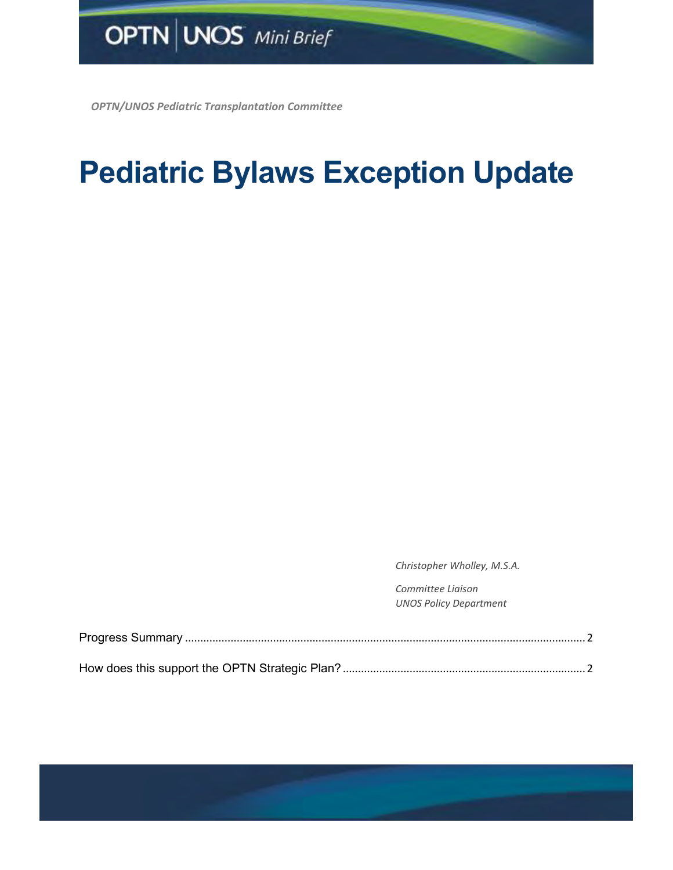*OPTN/UNOS Pediatric Transplantation Committee*

## **Pediatric Bylaws Exception Update**

*Christopher Wholley, M.S.A.* 

*Committee Liaison UNOS Policy Department*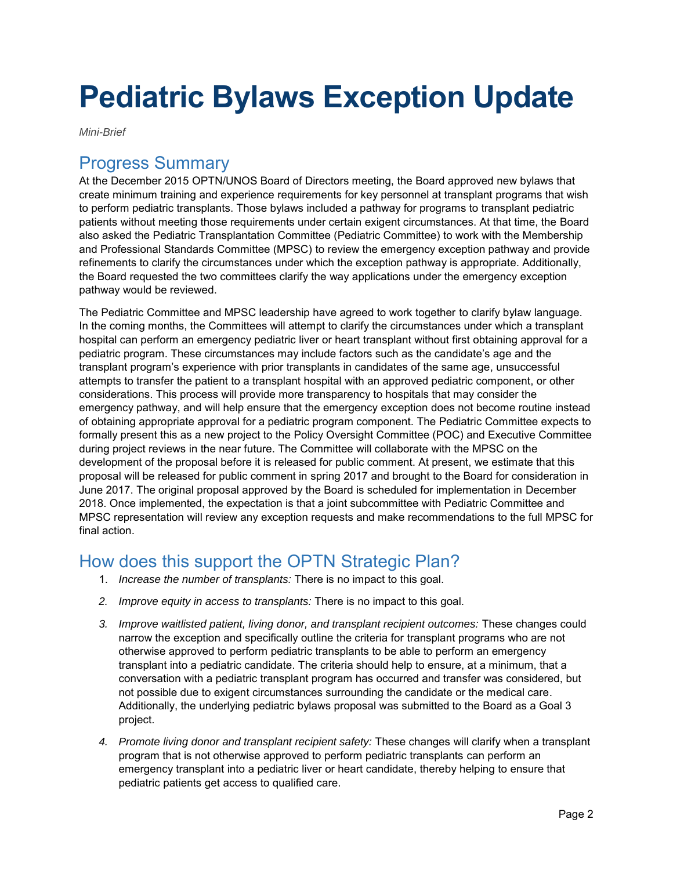## **Pediatric Bylaws Exception Update**

*Mini-Brief* 

## <span id="page-1-0"></span>Progress Summary

At the December 2015 OPTN/UNOS Board of Directors meeting, the Board approved new bylaws that create minimum training and experience requirements for key personnel at transplant programs that wish to perform pediatric transplants. Those bylaws included a pathway for programs to transplant pediatric patients without meeting those requirements under certain exigent circumstances. At that time, the Board also asked the Pediatric Transplantation Committee (Pediatric Committee) to work with the Membership and Professional Standards Committee (MPSC) to review the emergency exception pathway and provide refinements to clarify the circumstances under which the exception pathway is appropriate. Additionally, the Board requested the two committees clarify the way applications under the emergency exception pathway would be reviewed.

The Pediatric Committee and MPSC leadership have agreed to work together to clarify bylaw language. In the coming months, the Committees will attempt to clarify the circumstances under which a transplant hospital can perform an emergency pediatric liver or heart transplant without first obtaining approval for a pediatric program. These circumstances may include factors such as the candidate's age and the transplant program's experience with prior transplants in candidates of the same age, unsuccessful attempts to transfer the patient to a transplant hospital with an approved pediatric component, or other considerations. This process will provide more transparency to hospitals that may consider the emergency pathway, and will help ensure that the emergency exception does not become routine instead of obtaining appropriate approval for a pediatric program component. The Pediatric Committee expects to formally present this as a new project to the Policy Oversight Committee (POC) and Executive Committee during project reviews in the near future. The Committee will collaborate with the MPSC on the development of the proposal before it is released for public comment. At present, we estimate that this proposal will be released for public comment in spring 2017 and brought to the Board for consideration in June 2017. The original proposal approved by the Board is scheduled for implementation in December 2018. Once implemented, the expectation is that a joint subcommittee with Pediatric Committee and MPSC representation will review any exception requests and make recommendations to the full MPSC for final action.

## <span id="page-1-1"></span>How does this support the OPTN Strategic Plan?

- 1. *Increase the number of transplants:* There is no impact to this goal.
- *2. Improve equity in access to transplants:* There is no impact to this goal.
- *3. Improve waitlisted patient, living donor, and transplant recipient outcomes:* These changes could narrow the exception and specifically outline the criteria for transplant programs who are not otherwise approved to perform pediatric transplants to be able to perform an emergency transplant into a pediatric candidate. The criteria should help to ensure, at a minimum, that a conversation with a pediatric transplant program has occurred and transfer was considered, but not possible due to exigent circumstances surrounding the candidate or the medical care. Additionally, the underlying pediatric bylaws proposal was submitted to the Board as a Goal 3 project.
- *4. Promote living donor and transplant recipient safety:* These changes will clarify when a transplant program that is not otherwise approved to perform pediatric transplants can perform an emergency transplant into a pediatric liver or heart candidate, thereby helping to ensure that pediatric patients get access to qualified care.